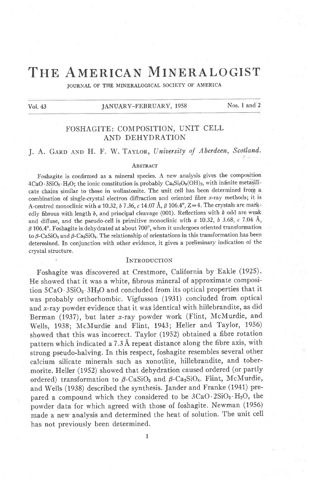# THE AMERICAN MINERALOGIST

JOURNAL OF THE MINERALOGICAL SOCIETY OF AMERICA

Vol. 43

#### JANUARY-FEBRUARY, 1958

Nos. 1 and 2

## FOSHAGITE: COMPOSITION, UNIT CELL AND DEHYDRATION

# J. A. GARD AND H. F. W. TAYLOR, University of Aberdeen, Scotland.

#### ABSTRACT

Foshagite is confirmed as a mineral species. A new analysis gives the composition 4CaO·3SiO<sub>2</sub>·H<sub>2</sub>O; the ionic constitution is probably Ca<sub>4</sub>Si<sub>3</sub>O<sub>9</sub>(OH)<sub>2</sub>, with infinite metasilicate chains similar to those in wollastonite. The unit cell has been determined from a combination of single-crystal electron diffraction and oriented fibre  $x$ -ray methods; it is A-centred monoclinic with a 10.32, b 7.36, c 14.07 Å,  $\beta$  106.4°, Z=4. The crystals are markedly fibrous with length  $b$ , and principal cleavage (001). Reflections with  $k$  odd are weak and diffuse, and the pseudo-cell is primitive monoclinic with a 10.32, b 3.68, c 7.04 Å,  $\beta$  106.4°. Foshagite is dehydrated at about 700°, when it undergoes oriented transformation to  $\beta$ -CaSiO<sub>3</sub> and  $\beta$ -Ca<sub>2</sub>SiO<sub>4</sub>. The relationship of orientations in this transformation has been determined. In conjunction with other evidence, it gives a preliminary indication of the crystal structure.

#### INTRODUCTION

Foshagite was discovered at Crestmore, California by Eakle (1925). He showed that it was a white, fibrous mineral of approximate composition 5CaO · 3SiO<sub>2</sub> · 3H<sub>2</sub>O and concluded from its optical properties that it was probably orthorhombic. Vigfusson (1931) concluded from optical and x-ray powder evidence that it was identical with hillebrandite, as did Berman (1937), but later x-ray powder work (Flint, McMurdie, and Wells, 1938; McMurdie and Flint, 1943; Heller and Taylor, 1956) showed that this was incorrect. Taylor (1952) obtained a fibre rotation pattern which indicated a 7.3 Å repeat distance along the fibre axis, with strong pseudo-halving. In this respect, foshagite resembles several other calcium silicate minerals such as xonotlite, hillebrandite, and tobermorite. Heller (1952) showed that dehydration caused ordered (or partly ordered) transformation to  $\beta$ -CaSiO<sub>3</sub> and  $\beta$ -Ca<sub>2</sub>SiO<sub>4</sub>. Flint, McMurdie, and Wells (1938) described the synthesis. Jander and Franke (1941) prepared a compound which they considered to be  $3CaO·2SiO<sub>2</sub>·H<sub>2</sub>O$ , the powder data for which agreed with those of foshagite. Newman (1956) made a new analysis and determined the heat of solution. The unit cell has not previously been determined.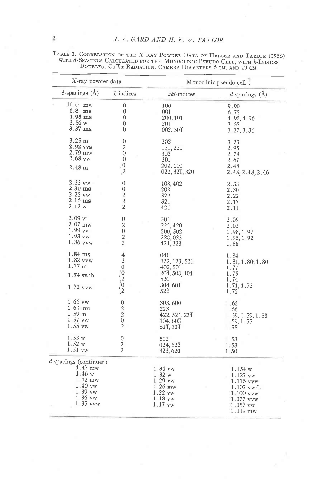| X-ray powder data         |                                             | Monoclinic pseudo-cell.             |                          |  |  |
|---------------------------|---------------------------------------------|-------------------------------------|--------------------------|--|--|
| $d$ -spacings $(\AA)$     | $k$ -indices                                | hkl-indices                         | $d$ -spacings $(\AA)$    |  |  |
| $10.0$ mw                 | 0                                           | 100                                 | 9.90                     |  |  |
| 6.8 ms                    | 0                                           | 001                                 | 6.75                     |  |  |
| $4.95$ ms                 | $\theta$                                    | 200, 101                            | 4.95, 4.96               |  |  |
| 3.56w                     | $\mathbf{0}$                                | 201                                 | 3.55                     |  |  |
| $3.37$ ms                 | $\theta$                                    | 002,30T                             | 3.37, 3.36               |  |  |
| 3.25 m                    | 0                                           | 202                                 | 3.23                     |  |  |
| 2.92 vvs                  | $\overline{c}$                              | 121, 220                            | 2.95                     |  |  |
| $2.79$ mw                 | $\overline{0}$                              | 302                                 | 2.78                     |  |  |
| 2.68 vw                   | $\overline{0}$                              | 301                                 |                          |  |  |
|                           | 0                                           |                                     | 2.67                     |  |  |
| 2.48 <sub>m</sub>         | 12                                          | 202,400<br>022, 321, 320            | 2.48<br>2.48, 2.48, 2.46 |  |  |
| $2.33 \text{ vw}$         | $\theta$                                    | $10\overline{3}$ , $40\overline{2}$ | 2.33                     |  |  |
| $2.30$ ms                 | $\bf{0}$                                    | 203                                 | 2.30                     |  |  |
| $2.25$ vw                 | $\boldsymbol{2}$                            | $32\overline{2}$                    | 2.22                     |  |  |
| $2.16$ ms                 | $\overline{a}$                              | 321                                 |                          |  |  |
| 2.12 w                    | $\overline{2}$                              | $42\overline{1}$                    | 2.17<br>2.11             |  |  |
| 2.09 w                    | 0                                           | 302                                 | 2.09                     |  |  |
| $2.07$ mw                 | $\overline{2}$                              | 222, 420                            | 2.05                     |  |  |
| $1.99 \text{ vW}$         | $\mathbf{0}$                                | 500, 502                            | 1.98, 1.97               |  |  |
| $1.93 \text{vw}$          |                                             | 223,023                             |                          |  |  |
| 1.86 vvw                  | $\begin{smallmatrix}2\2\2\end{smallmatrix}$ | 421, 323                            | 1.95, 1.92<br>1.86       |  |  |
| $1.84$ ms                 | 4                                           | 040                                 | 1.84                     |  |  |
| 1.82 vvw                  | $\overline{2}$                              | 322, 123, 521                       | 1.81, 1.80, 1.80         |  |  |
| $1.77 \;{\rm m}$          | $\theta$                                    | 402,501                             | 1.77                     |  |  |
|                           | ∫0                                          | 204, 503, 104                       |                          |  |  |
| $1.74$ vs/b               | $\overline{2}$                              | 520                                 | 1.75                     |  |  |
|                           | ÌΟ                                          |                                     | 1.74                     |  |  |
| 1.72 vvw                  | 2                                           | 304,601<br>522                      | 1.71, 1.72<br>1.72       |  |  |
| 1.66 vw                   | $\boldsymbol{0}$                            | 303,600                             | 1.65                     |  |  |
| $1.63$ mw                 | $\overline{c}$                              | 223                                 | 1.66                     |  |  |
| 1.59 <sub>m</sub>         | $\overline{a}$                              | 422, 521, 224                       | 1.59, 1.59, 1.58         |  |  |
| 1.57 vw                   | $\boldsymbol{0}$                            |                                     |                          |  |  |
| $1.55 \text{ vw}$         | $\overline{2}$                              | $104,60\overline{3}$<br>621, 324    | 1.59, 1.55<br>1.55       |  |  |
| 1.53 w                    | 0                                           | 502                                 | 1.53                     |  |  |
| 1.52 w                    | $\boldsymbol{2}$                            | 024,622                             | 1.53                     |  |  |
| 1.51 vw                   | $\overline{2}$                              | 323, 620                            | 1.50                     |  |  |
| $d$ -spacings (continued) |                                             |                                     |                          |  |  |
| $1.47$ mw                 |                                             | 1.34 vw                             | 1.154 w                  |  |  |
| 1.46 w                    |                                             | 1.32 w                              | 1.127 vw                 |  |  |
| $1.42$ mw                 |                                             | 1.29 vw                             | 1.115 yyw                |  |  |
| $1.40 \text{ vw}$         |                                             | $1.26$ mw                           | $1.107$ vw/b             |  |  |
| $1.39$ vw                 |                                             | 1.22 vw                             | 1.100 vvw                |  |  |
| $1.36$ vw                 |                                             | $1.18 \text{ vw}$                   | 1.077 vvw                |  |  |
| $1.35$ vvw                |                                             | $1.17$ vw                           |                          |  |  |
|                           |                                             |                                     | $1.057$ vw               |  |  |
|                           |                                             |                                     | $1.039$ mw               |  |  |

TABLE 1. CORRELATION OF THE X-RAY POWDER DATA OF HELLER AND TAYLOR (1956) WITH  $d$ -Spacings Calculated for the Monoclinic Pseudo-Cell, with  $k$ -Indices Doubled. CuK $\alpha$  Radiation. Camera Diameters 6 cm. and 19 cm.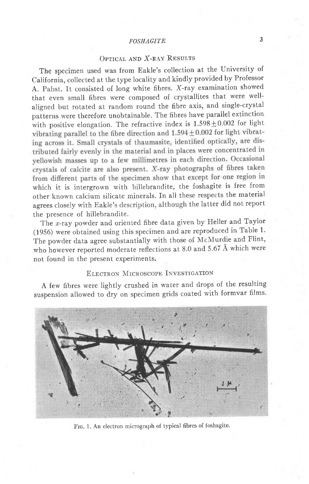## FOSHAGITE<sup>3</sup>

## OPTICAL AND X-RAY RESULTS

The specimen used was from Eakle's collection at the University of California, collected at the type locality and kindly provided by Professor A. Pabst. It consisted of long white fibres. X-ray examination showed that even small fibres were composed of crystallites that were wellaligned but rotated at random round the fibre axis, and single-crystal patterns were therefore unobtainable. The fibres have parallel extinction with positive elongation. The refractive index is  $1.598 \pm 0.002$  for light vibration vibration and  $1.594 \pm 0.002$  for light vibrating across it. Small crystals of thaumasite, identified optically, are distributed fairly evenly in the material and in places were concentrated in yellowish masses up to a few millimetres in each direction. Occasional crystals of calcite are also present. X-ray photographs of fibres taken from different parts of the specimen show that except for one region in which it is intergrown with hillebrandite, the foshagite is free from other known calcium silicate minerals. In all these respects the material agrees closely with Eakle's description, although the latter did not report the presence of hillebrandite.

The *x*-ray powder and oriented fibre data given by Heller and Taylor (1956) were obtained using this specimen and are reproduced in Table 1' The powder data agree substantially with those of McMurdie and Flint, who however reported moderate reflections at 8.0 and 5.67 A which were not found in the present experiments.

## ELECTRON MICROSCOPE INVESTIGATION

A few fibres were lightly crushed in water and drops of the resulting suspension allowed to dry on specimen grids coated with formvar films.



Frc. 1, An electron micrograph of typical fibres of foshagite.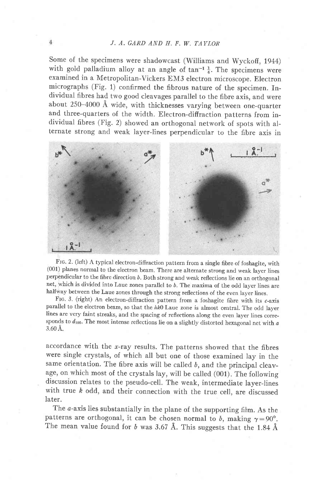## J. A. GARD AND H. F. W. TAYLOR

Some of the specimens were shadowcast (Williams and Wyckoff, 1944) with gold palladium alloy at an angle of  $\tan^{-1} \frac{1}{4}$ . The specimens were examined in a Metropolitan-vickers EM3 electron microscope. Electron micrographs (Fig. 1) confirmed the fibrous nature of the specimen. fndividual fibres had two good cleavages parallel to the fibre axis, and were about 250-4000 A wide, with thicknesses varying between one-quarter and three-quarters of the width. Electron-diffraction patterns from individual fibres (Fig. 2) showed an orthogonal network of spots with alternate strong and weak layer-lines perpendicular to the fibre axis in



Ftc. 2. (left) A typical electron-diffraction pattern from a single fibre of foshagite, with (001) planes normal to the electron beam. There are alternate strong and weak layer lines perpendicular to the fibre direction b. Both strong and weak reflections lie on an orthogonal net, which is divided into Laue zones parallel to b. The maxima of the odd layer lines are halfway between the Laue zones through the strong reflections of the even layer lines.

FIG. 3. (right) An electron-diffraction pattern from a foshagite fibre with its c-axis parallel to the electron beam, so that the  $hk0$  Laue zone is almost central. The odd layer lines are very faint streaks, and the spacing of reflections along the even layer lines corresponds to  $d_{100}$ . The most intense reflections lie on a slightly distorted hexagonal net with  $a$ 3.60 A.

accordance with the  $x$ -ray results. The patterns showed that the fibres were single crystals, of which all but one of those examined lay in the same orientation. The fibre axis will be called  $b$ , and the principal cleavage, on which most of the crystals lay, will be called (001). The following discussion relates to the pseudo-cell. The weak, intermediate layer-lines with true  $k$  odd, and their connection with the true cell, are discussed later.

The *a*-axis lies substantially in the plane of the supporting film. As the patterns are orthogonal, it can be chosen normal to b, making  $\gamma=90^{\circ}$ . The mean value found for b was 3.67 Å. This suggests that the 1.84 Å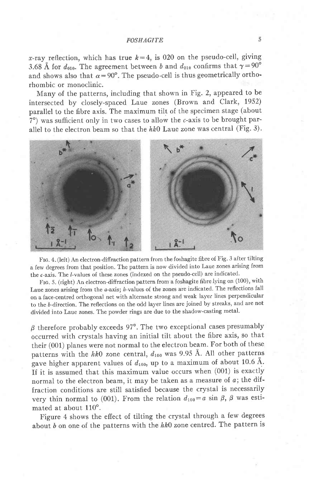x-ray reflection, which has true  $k=4$ , is 020 on the pseudo-cell, giving 3.68 Å for  $d_{010}$ . The agreement between b and  $d_{010}$  confirms that  $\gamma = 90^{\circ}$ and shows also that  $\alpha=90^\circ$ . The pseudo-cell is thus geometrically orthorhombic or monoclinic.

Many of the patterns, including that shown in Fig. 2, appeared to be intersected by closely-spaced Laue zones (Brown and Clark, 1952) parallel to the fibre axis. The maximum tilt of the specimen stage (about  $7^\circ$ ) was sufficient only in two cases to allow the  $c$ -axis to be brought parallel to the electron beam so that the  $hk0$  Laue zone was central (Fig. 3).



Frc. 4. (left) An electron-diflraction pattern from the foshagite fibre of Fig. 3 after tilting a few degrees from that position. The pattern is now divided into Laue zones arising from the c-axis. The l-values of these zones (indexed on the pseudo-cell) are indicated.

FIG. 5. (right) An electron-diffraction pattern from a foshagite fibre lying on (100), with Laue zones arising from the  $a$ -axis;  $h$ -values of the zones are indicated. The reflections fall on a face-centred orthogonal net with alternate strong and weak layer lines perpendicular to the b-direction. The reflections on the odd layer lines are joined by streaks, and are not divided into Laue zones. The powder rings are due to the shadow-casting metal'

 $\beta$  therefore probably exceeds 97°. The two exceptional cases presumably occurred with crystals having an initial tilt about the fibre axis, so that their (001) planes were not normal to the electron beam. For both of these patterns with the hk0 zone central,  $d_{100}$  was 9.95 Å. All other patterns gave higher apparent values of  $d_{100}$ , up to a maximum of about 10.6 Å. If it is assumed that this maximum value occurs when (001) is exactly normal to the electron beam, it may be taken as a measure of  $a$ ; the diffraction conditions are still satisfied because the crystal is necessarily very thin normal to (001). From the relation  $d_{100} = a \sin \beta$ ,  $\beta$  was estimated at about  $110^\circ$ .

Figure 4 shows the effect of tilting the crystal through a few degrees about b on one of the patterns with the  $hk0$  zone centred. The pattern is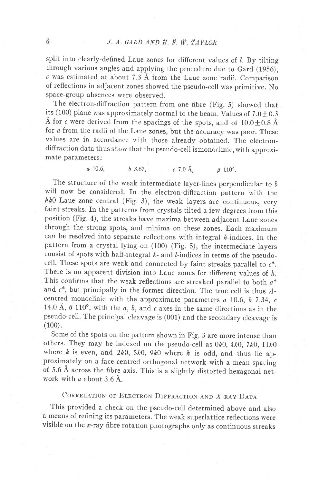split into clearly-defined Laue zones for different values of  $l$ . By tilting through various angles and applying the procedure due to Gard (1956),  $c$  was estimated at about 7.3 Å from the Laue zone radii. Comparison of reflections in adjacent zones showed the pseudo-cell was primitive. No space-group absences were observed.

The electron-diffraction pattern from one fibre (Fig. 5) showed that its (100) plane was approximately normal to the beam. Values of  $7.0 \pm 0.3$ Å for c were derived from the spacings of the spots, and of  $10.0 \pm 0.8$  Å for a from the radii of the Laue zones, but the accuracy was poor. These values are in accordance with those already obtained. The electrondiffraction data thus show that the pseudo-ceil ismonoclinic, with approximate parameters:

a 10.6, b 3.67, c 7.0 Å,  $\beta$  110°.

The structure of the weak intermediate layer-lines perpendicular to  $b$ will now be considered. In the electron-diffraction pattern with the  $hk0$  Laue zone central (Fig. 3), the weak layers are continuous, very faint streaks. In the patterns from crystals tilted a few degrees from this position (Fig.4), the streaks have maxima between adjacent Laue zones through the strong spots, and minima on these zones. Each maximum can be resolved into separate reflections with integral  $h$ -indices. In the pattern from a crystal lying on (100) (Fig. 5), the intermediate layers consist of spots with half-integral  $k$ - and  $l$ -indices in terms of the pseudocell. These spots are weak and connected by faint streaks parallel to  $c^*$ . There is no apparent division into Laue zones for different values of  $h$ . This confirms that the weak reflections are streaked parallel to both  $a^*$ and  $c^*$ , but principally in the former direction. The true cell is thus  $A$ centred monoclinic with the approximate parameters  $a$  10.6,  $b$  7.34,  $c$ 14.0 Å,  $\beta$  110°, with the a, b, and c axes in the same directions as in the pseudo-cell. The principal cleavage is (001) and the secondary cleavage is  $(100).$ 

Some of the spots on the pattern shown in Fig. 3 are more intense than others. They may be indexed on the pseudo-cell as  $0k0$ ,  $4k0$ ,  $7k0$ ,  $11k0$ where k is even, and 2k0, 5k0, 9k0 where k is odd, and thus lie approximately on a face-centred orthogonal network with a mean spacing of 5.6 A across the fibre axis. This is a slightly distorted hexagonal network with  $\alpha$  about 3.6 Å.

## CORRELATION OF ELECTRON DIFFRACTION AND X-RAY DATA

This provided a check on the pseudo-cell determined above and also a means of refining its parameters. The weak superlattice reflections were visible on the x-ray fibre rotation photographs only as continuous streaks

6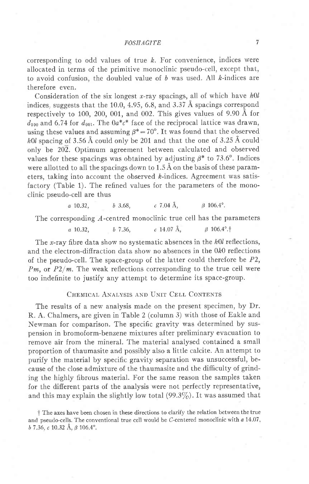corresponding to odd values of true  $k$ . For convenience, indices were allocated in terms of the primitive monoclinic pseudo-cell, except that, to avoid confusion, the doubled value of  $b$  was used. All  $k$ -indices are therefore even.

Consideration of the six longest x-ray spacings, all of which have  $h0l$ indices. suggests that the 10.0, 4.95, 6.8, and 3.37 Å spacings correspond respectively to 100, 200, 001, and 002. This gives values of 9.90 A for  $d_{100}$  and 6.74 for  $d_{001}$ . The  $0a^*c^*$  face of the reciprocal lattice was drawn, using these values and assuming  $\beta^* = 70^\circ$ . It was found that the observed  $h0l$  spacing of 3.56 Å could only be 201 and that the one of 3.25 Å could only be 202. Optimum agreement between calculated and observed values for these spacings was obtained by adjusting  $\beta^*$  to 73.6°. Indices were allotted to all the spacings down to  $1.5 \text{ Å}$  on the basis of these parameters, taking into account the observed  $k$ -indices. Agreement was satisfactory (Table 1). The refined values for the parameters of the monoclinic pseudo-cell are thus

 $a \quad 10.32, \quad b \quad 3.68, \quad c \quad 7.04 \text{ Å}, \quad \beta \quad 106.4^{\circ}.$ 

The corresponding  $A$ -centred monoclinic true cell has the parameters

a 10.32, b 7.36, c 14.07 Å,  $\beta$  106.4°.<sup>†</sup>

The x-ray fibre data show no systematic absences in the  $h0l$  reflections, and the electron-diffraction data show no absences in the 0k0 reflections of the pseudo-cell. The space-group of the latter could therefore be  $P2$ ,  $Pm$ , or  $P2/m$ . The weak reflections corresponding to the true cell were too indefinite to justify any attempt to determine its space-group.

## CHEMICAL ANALYSIS AND UNIT CELL CONTENTS

The results of a new analysis made on the present specimen, by Dr. R. A. Chalmers, are given in Table 2 (column 3) with those of Eakle and Newman for comparison. The specific gravity was determined by suspension in bromoform-benzene mixtures after preliminary evacuation to remove air from the mineral. The material analysed contained a small proportion of thaumasite and possibly also a little calcite. An attempt to purify the material by specific gravity separation was unsuccessful, because of the close admixture of the thaumasite and the difficulty of grinding the highly fibrous material. For the same reason the samples taken for the difierent parts of the analysis were not perfectly representative, and this may explain the slightly low total  $(99.3\%)$ . It was assumed that

t The axes have been chosen in these directions to clarify the relation between the true and pseudo-cells. The conventional true cell would be  $C$ -centered monoclinic with  $a$  14.07,  $b$  7.36,  $c$  10.32 Å,  $\beta$  106.4°.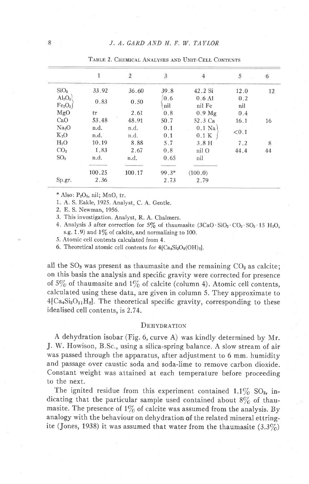|                                                |        | $\overline{2}$ | 3          |                    | 5          | $\boldsymbol{\theta}$ |
|------------------------------------------------|--------|----------------|------------|--------------------|------------|-----------------------|
| SiO <sub>2</sub>                               | 33.92  | 36.60          | 39.8       | 42.2 Si            | 12.0       | 12                    |
| $Al_2O_3$<br>[Fe <sub>2</sub> O <sub>3</sub> ] | 0.83   | 0.50           | 0.6<br>nil | $0.6$ Al<br>nil Fe | 0.2<br>nil |                       |
| MgO                                            | tr     | 2.61           | 0.8        | 0.9 Mg             | 0.4        |                       |
| CaO                                            | 53.48  | 48.91          | 50.7       | 52.3 Ca            | 16.1       | 16                    |
| Na <sub>2</sub> O                              | n.d.   | n.d.           | 0.1        | $0.1$ Na           |            |                       |
| $K_2O$                                         | n.d.   | n.d.           | 0.1        | 0.1 K              | < 0.1      |                       |
| $H_2O$                                         | 10.19  | 8.88           | 5.7        | 3.8H               | 7.2        | 8                     |
| CO <sub>2</sub>                                | 1.83   | 2.67           | 0.8        | nil O              | 44.4       | 44                    |
| SO <sub>3</sub>                                | n.d.   | n.d.           | 0.65       | nil                |            |                       |
|                                                | 100.25 | 100.17         | $99.3*$    | (100.0)            |            |                       |
| Sp.gr.                                         | 2.36   |                | 2.73       | 2.79               |            |                       |

TABLE 2. CHEMICAL ANALYSES AND UNIT-CELL CONTENTS

\* Also:  $P_2O_5$ , nil; MnO, tr.

1. A. S. Eakle, 1925. Analyst, C. A. Gentle.

2. E. S. Newman, 1956.

3. This investigation. Analyst, R. A. Chalmers.

4. Analysis 3 after correction for 5% of thaumasite  $(3CaO \cdot SiO<sub>2</sub> \cdot CO<sub>2</sub> \cdot SO<sub>3</sub> \cdot 15 H<sub>2</sub>O$ , s.g.  $1.9$ ) and  $1\%$  of calcite, and normalizing to 100.

5. Atomic cell contents calculated from 4.

6. Theoretical atomic cell contents for  $4[Ca_4Si_3O_9(OH)_2]$ .

all the  $SO_3$  was present as thaumasite and the remaining  $CO_2$  as calcite; on this basis the analysis and specific gravity were corrected for presence of  $5\%$  of thaumasite and  $1\%$  of calcite (column 4). Atomic cell contents, calculated using these data, are given in column 5. They approximate to  $4[Ca_4Si_3O_{11}H_2]$ . The theoretical specific gravity, corresponding to these idealised cell contents, is 2.74.

#### DEHYDRATION

A dehydration isobar (Fig. 6, curve A) was kindly determined by Mr. J. W. Howison, B.Sc., using a silica-spring balance. A slow stream of air was passed through the apparatus, after adjustment to 6 mm. humidity and passage over caustic soda and soda-lime to remove carbon dioxide. Constant weight was attained at each temperature before proceeding to the next.

The ignited residue from this experiment contained  $1.1\%$  SO<sub>3</sub>, indicating that the particular sample used contained about  $8\%$  of thaumasite. The presence of  $1\%$  of calcite was assumed from the analysis. By analogy with the behaviour on dehydration of the related mineral ettringite (Jones, 1938) it was assumed that water from the thaumasite  $(3.3\%)$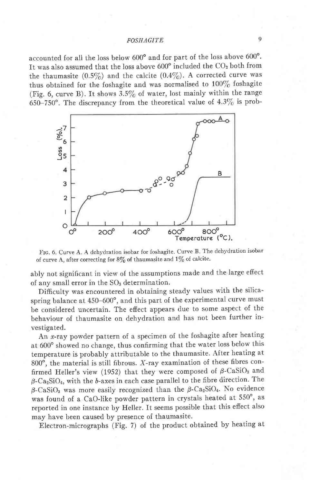accounted for all the loss below  $600^{\circ}$  and for part of the loss above  $600^{\circ}$ . It was also assumed that the loss above  $600^{\circ}$  included the  $CO<sub>2</sub>$  both from the thaumasite  $(0.5\%)$  and the calcite  $(0.4\%)$ . A corrected curve was thus obtained for the foshagite and was normalised to  $100\%$  foshagite (Fig. 6, curve B). It shows  $3.5\%$  of water, lost mainly within the range 650-750°. The discrepancy from the theoretical value of  $4.3\%$  is prob-



Frc. 6. Curve A. A dehydration isobar for foshagite. Curve B. The dehydration isobar of curve A, after correcting for  $8\%$  of thaumasite and  $1\%$  of calcite.

ably not significant in view of the assumptions made and the large efiect of any small error in the  $SO<sub>3</sub>$  determination.

Difficulty was encountered in obtaining steady values with the silicaspring balance at 450-600°, and this part of the experimental curve must be considered uncertain. The efiect appears due to some aspect of the behaviour of thaumasite on dehydration and has not been further investigated.

An x-ray powder pattern of a specimen of the foshagite after heating at 600° showed no change, thus confirming that the water loss below this temperature is probably attributable to the thaumasite. After heating at 800 $^{\circ}$ , the material is still fibrous. X-ray examination of these fibres confirmed Heller's view (1952) that they were composed of  $\beta$ -CaSiO<sub>3</sub> and  $\beta$ -Ca<sub>2</sub>SiO<sub>4</sub>, with the b-axes in each case parallel to the fibre direction. The  $\beta$ -CaSiO<sub>3</sub> was more easily recognized than the  $\beta$ -Ca<sub>2</sub>SiO<sub>4</sub>. No evidence was found of a CaO-like powder pattern in crystals heated at 550°, as reported in one instance by Heller. It seems possible that this effect also may have been caused by presence of thaumasite.

Electron-micrographs (Fig. 7) of the product obtained by heating at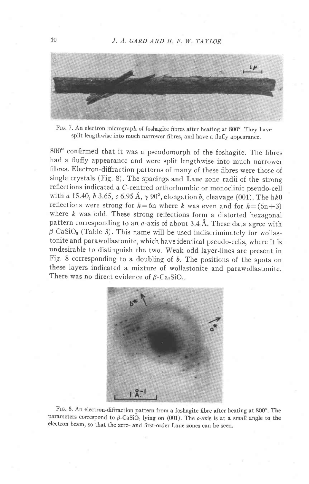

Ftc. 7. An electron micrograph of foshagite fibres after heating at 800'. They have split lengthwise into much narrower fibres, and have a flufiy appearance.

800° confirmed that it was a pseudomorph of the foshagite. The fibres had a fluffy appearance and were split lengthwise into much narrower fibres. Electron-difiraction patterns of many of these fibres were those of single crystals (Fig. 8). The spacings and Laue zone radii of the strong reflections indicated a c-centred orthorhombic or monoclinic pseudo-cell with a 15.40, b 3.65, c 6.95 Å,  $\gamma$  90°, elongation b, cleavage (001). The hk0 reflections were strong for  $h=6n$  where k was even and for  $h=(6n+3)$ where  $k$  was odd. These strong reflections form a distorted hexagonal pattern corresponding to an  $a$ -axis of about 3.4 Å. These data agree with  $\beta$ -CaSiO<sub>3</sub> (Table 3). This name will be used indiscriminately for wollastonite and parawollastonite, which have identical pseudo-cells, where it is undesirable to distinguish the two. weak odd layer-lines are present in Fig. 8 corresponding to a doubling of b. The positions of the spots on these layers indicated a mixture of wollastonite and parawollastonite. There was no direct evidence of  $\beta$ -Ca<sub>2</sub>SiO<sub>4</sub>.



Frc. 8. An electron-diffraction pattern from a foshagite fibre after heating at 800". The parameters correspond to  $\beta$ -CaSiO<sub>3</sub> lying on (001). The c-axis is at a small angle to the electron beam, so that the zero- and first-order Laue zones can be seen.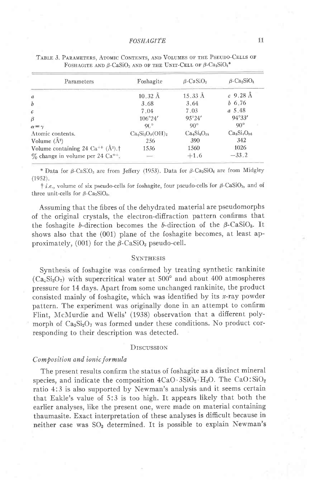| Parameters                                                   | Foshagite         | $\beta$ -CaSiO <sub>3</sub> | $\beta$ -Ca <sub>2</sub> SiO <sub>4</sub> |
|--------------------------------------------------------------|-------------------|-----------------------------|-------------------------------------------|
| $\mathfrak a$                                                | $10.32 \text{ Å}$ | $15.33 \text{ Å}$           | $c$ 9.28 Å                                |
| $\boldsymbol{b}$                                             | 3.68              | 3.64                        | $b\,6.76$                                 |
| $\mathcal{C}$                                                | 7.04              | 7.03                        | $a\;5.48$                                 |
| $\beta$                                                      | $106^{\circ}24'$  | $95^{\circ}24'$             | $94^{\circ}33'$                           |
| $\alpha = \gamma$                                            | $Qf^{\circ}$      | $90^\circ$                  | $90^{\circ}$                              |
| Atomic contents.                                             | $Ca4Si3O9(OH)2$   | $Ca_6Si_6O_{18}$            | $Ca_8Si_4O_{16}$                          |
| Volume $(A^3)$                                               | 256               | 390                         | 342                                       |
| Volume containing 24 Ca <sup>++</sup> $(A^3)$ . <sup>†</sup> | 1536              | 1560                        | 1026                                      |
| $\%$ change in volume per 24 Ca <sup>++</sup> .              | $\overline{a}$    | $+1.6$                      | $-33.2$                                   |
|                                                              |                   |                             |                                           |

| TABLE 3. PARAMETERS, ATOMIC CONTENTS, AND VOLUMES OF THE PSEUDO-CELLS OF                                      |  |  |
|---------------------------------------------------------------------------------------------------------------|--|--|
| FOSHAGITE AND $\beta$ -CaSiO <sub>3</sub> AND OF THE UNIT-CELL OF $\beta$ -Ca <sub>2</sub> SiO <sub>4</sub> * |  |  |

\* Data for  $\beta$ -CaS:O<sub>3</sub> are from Jeffery (1953). Data for  $\beta$ -Ca<sub>2</sub>SiO<sub>4</sub> are from Midgley  $(1952)$ .

 $\dagger$  *i.e.*, volume of six pseudo-cells for foshagite, four pseudo-cells for  $\beta$ -CaSiO<sub>3</sub>, and of three unit-cells for  $\beta$ -Ca<sub>2</sub>SiO<sub>4</sub>.

Assuming that the fibres of the dehydrated material are pseudomorphs of the original crystals, the electron-difiraction pattern confirms that the foshagite b-direction becomes the b-direction of the  $\beta$ -CaSiO<sub>3</sub>. It shows also that the (001) plane of the foshagite becomes, at least approximately, (001) for the  $\beta$ -CaSiO<sub>3</sub> pseudo-cell.

#### **SYNTHESIS**

Synthesis of foshagite was confirmed by treating synthetic rankinite  $(Ca_sSi_2O_7)$  with supercritical water at 500° and about 400 atmospheres pressure for 14 days. Apart from some unchanged rankinite, the product consisted mainly of foshagite, which was identified by its  $x$ -ray powder pattern. The experiment was originally done in an attempt to confirm Flint, McMurdie and Wells' (1938) observation that a different polymorph of  $Ca_3Si_2O_7$  was formed under these conditions. No product corresponding to their description was detected.

#### **DISCUSSION**

#### Composition and ionic formula

The present results confirm the status of foshagite as a distinct mineral species, and indicate the composition  $4CaO \cdot 3SiO_2 \cdot H_2O$ . The CaO: $SiO_2$ ratio 4:3 is also supported by Newman's analysis and it seems certain that Eakle's value of 5:3 is too high. It appears likely that both the earlier analyses, like the present one, were made on material containing thaumasite. Exact interpretation of these analyses is difficult because in neither case was SO<sub>3</sub> determined. It is possible to explain Newman's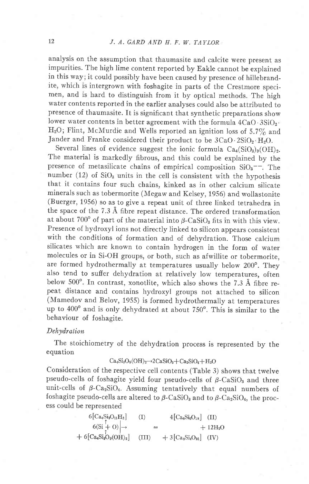## 12 J, A. GARD AND H. F. W. TAYLOR

analysis on the assumption that thaumasite and calcite were present as impurities. The high lime content reported by Eakle cannot be explained in this way; it could possibly have been caused by presence of hillebrandite, which is intergrown with foshagite in parts of the Crestmore specimen, and is hard to distinguish from it by optical methods. The high water contents reported in the earlier analyses could also be attributed to presence of thaumasite. It is significant that synthetic preparations show lower water contents in better agreement with the formula  $4CaO \cdot 3SiO_2$ . H<sub>2</sub>O; Flint, McMurdie and Wells reported an ignition loss of 5.7% and Jander and Franke considered their product to be  $3CaO \cdot 2SiO_2 \cdot H_2O$ .

Several lines of evidence suggest the ionic formula  $Ca_4(SiO_3)_8(OH)_2$ . The material is markedly fibrous, and this could be explained by the presence of metasilicate chains of empirical composition  $SiO_3$ <sup>--</sup>. The number (12) of  $SiO<sub>3</sub>$  units in the cell is consistent with the hypothesis that it contains four such chains, kinked as in other calcium silicate minerals such as tobermorite (Megaw and Kelsey, 1956) and wollastonite (Buerger, 1956) so as to give a repeat unit of three linked tetrahedra in the space of the 7.3 A fibre repeat distance. The ordered transformation at about 700 $^{\circ}$  of part of the material into  $\beta$ -CaSiO<sub>3</sub> fits in with this view. Presence of hydroxyl ions not directly linked to silicon appears consistent with the conditions of formation and of dehydration. Those calcium silicates which are known to contain hydrogen in the form of water molecules or in Si-OH groups, or both, such as afwillite or tobermorite, are formed hydrothermally at temperatures usually below 200°. They also tend to sufier dehydration at relatively low temperatures, often below 500". In contrast, xonotlite, which also shows the 7.3 A fibre repeat distance and contains hydroxyl groups not attached to silicon (Mamedov and Belov, 1955) is formed hydrothermally at temperatures up to  $400^{\circ}$  and is only dehydrated at about  $750^{\circ}$ . This is similar to the behaviour of foshagite.

### Dehydration

The stoichiometry of the dehydration process is represented by the equation

## $Ca_4Si_3O_9(OH)<sub>2</sub>\rightarrow 2 CaSiO_3 + Ca_2SiO_4 + H_2O$

consideration of the respective cell contents (Table 3) shows that twelve pseudo-cells of foshagite yield four pseudo-cells of  $\beta$ -CaSiO<sub>3</sub> and three unit-cells of  $\beta$ -Ca<sub>2</sub>SiO<sub>4</sub>. Assuming tentatively that equal numbers of foshagite pseudo-cells are altered to  $\beta$ -CaSiO<sub>3</sub> and to  $\beta$ -Ca<sub>2</sub>SiO<sub>4</sub>, the process could be represented

> $6[Ca_4Si_3O_{11}H_2]$  (I)  $4[Ca_6Si_6O_{18}]$  (II)  $6(Si + 0)$   $\rightarrow$   $\qquad =$   $+12H_2O$  $+ 6[C_{a_4}Si_3O_9(OH)_2]$  (III)  $+ 3[C_{a_8}Si_4O_{16}]$  (IV)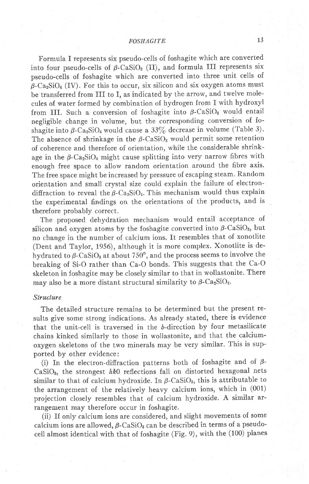Formula I represents six pseudo-cells of foshagite which are converted into four pseudo-cells of  $\beta$ -CaSiO<sub>3</sub> (II), and formula III represents six pseudo-cells of foshagite which are converted into three unit cells of  $\beta$ -Ca<sub>2</sub>SiO<sub>4</sub> (IV). For this to occur, six silicon and six oxygen atoms must be transferred from III to I, as indicated by the arrow, and twelve molecules of water formed by combination of hydrogen from I with hydroxyl from III. Such a conversion of foshagite into  $\beta$ -CaSiO<sub>3</sub> would entail negligible change in volume, but the corresponding conversion of foshagite into  $\beta$ -Ca<sub>2</sub>SiO<sub>4</sub> would cause a 33% decrease in volume (Table 3). The absence of shrinkage in the  $\beta$ -CaSiO<sub>3</sub> would permit some retention of coherence and therefore of orientation, while the considerable shrinkage in the  $\beta$ -Ca<sub>2</sub>SiO<sub>4</sub> might cause splitting into very narrow fibres with enough free space to allow random orientation around the fibre axis. The free space might be increased by pressure of escaping steam. Random orientation and small crystal size could explain the failure of electrondiffraction to reveal the  $\beta$ -Ca<sub>2</sub>SiO<sub>4</sub>. This mechanism would thus explain the experimental findings on the orientations of the products, and is therefore probably correct.

The proposed dehydration mechanism would entail acceptance of silicon and oxygen atoms by the foshagite converted into  $\beta$ -CaSiO<sub>3</sub>, but no change in the number of calcium ions. It resembles that of xonotlite (Dent and Taylor, 1956), although it is more complex. Xonotlite is dehydrated to  $\beta$ -CaSiO<sub>3</sub> at about 750°, and the process seems to involve the breaking of Si-O rather than Ca-O bonds. This suggests that the Ca-O skeleton in foshagite may be closely similar to that in wollastonite. There may also be a more distant structural similarity to  $\beta$ -Ca<sub>2</sub>SiO<sub>4</sub>.

## Structure

The detailed structure remains to be determined but the present results give some strong indications. As already stated, there is evidence that the unit-cell is traversed in the  $b$ -direction by four metasilicate chains kinked similarly to those in wollastonite, and that the calciumoxygen skeletons of the two minerals may be very similar. This is supported by other evidence:

(i) In the electron-diffraction patterns both of foshagite and of  $\beta$ -CaSiO<sub>3</sub>, the strongest  $hk0$  reflections fall on distorted hexagonal nets similar to that of calcium hydroxide. In  $\beta$ -CaSiO<sub>3</sub>, this is attributable to the arrangement of the relatively heavy calcium ions, which in (001) projection closely resembles that of calcium hydroxide. A similar arrangement may therefore occur in foshagite.

(ii) If onty calcium ions are considered, and slight movements of some calcium ions are allowed,  $\beta$ -CaSiO<sub>3</sub> can be described in terms of a pseudocell almost identical with that of foshagite (Fig. 9), with the (100) planes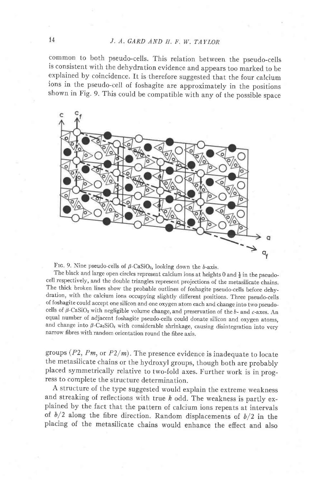# $J. A. GARD AND H. F. W. TAYLOR$

common to both pseudo-cells. This relation between the pseudo-cells is consistent with the dehydration evidence and appears too marked to be explained by coincidence. It is therefore suggested that the four calcium ions in the pseudo-cell of foshagite are approximately in the positions shown in Fig. 9. This could be compatible with any of the possible space



FIG. 9. Nine pseudo-cells of  $\beta$ -CaSiO<sub>3</sub>, looking down the b-axis.

The black and large open circles represent calcium ions at heights 0 and  $\frac{1}{2}$  in the pseudocell respectively, and the double triangles represent projections of the metasilicate chains. The thick broken lines show the probable outlines of foshagite pseudo-cells before dehydration, with the calcium ions occupying slightly difierent positions. Three pseudo-cells of foshagite could accept one silicon and one oxygen atom each and change into two pseudocells of  $\beta$ -CaSiO<sub>3</sub> with negligible volume change, and preservation of the b- and c-axes. An equal number of adjacent foshagite pseudo-cells could donate silicon and oxygen atoms, and change into  $\beta$ -Ca<sub>2</sub>SiO<sub>4</sub> with considerable shrinkage, causing disintegration into very narrow fibres with random orientation round the fibre axis.

groups  $(P2, Pm,$  or  $P2/m$ ). The presence evidence is inadequate to locate the metasilicate chains or the hydroxvl groups, though both are probably placed symmetrically relative to two-fold axes. Further work is in progress to complete the structure determination.

A structure of the type suggested would explain the extreme weakness and streaking of reflections with true  $k$  odd. The weakness is partly explained by the fact that the pattern of calcium ions repeats at intervals of  $b/2$  along the fibre direction. Random displacements of  $b/2$  in the placing of the metasilicate chains would enhance the effect and also